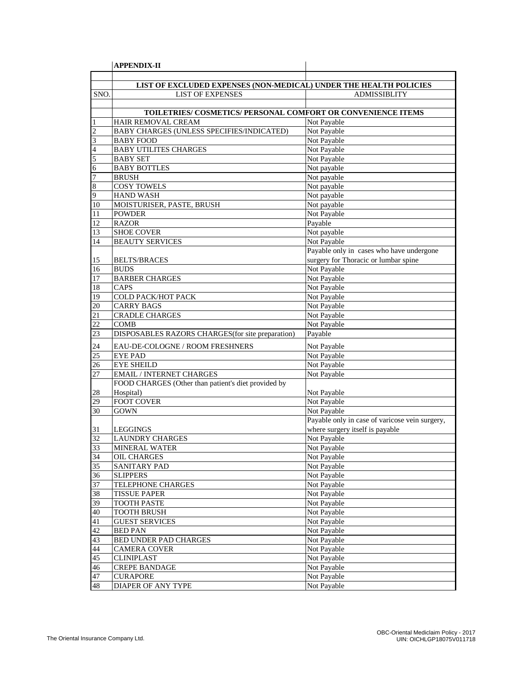|                | <b>APPENDIX-II</b>                                                |                                                |
|----------------|-------------------------------------------------------------------|------------------------------------------------|
|                |                                                                   |                                                |
|                | LIST OF EXCLUDED EXPENSES (NON-MEDICAL) UNDER THE HEALTH POLICIES |                                                |
| SNO.           | <b>LIST OF EXPENSES</b>                                           | <b>ADMISSIBLITY</b>                            |
|                |                                                                   |                                                |
|                | TOILETRIES/ COSMETICS/ PERSONAL COMFORT OR CONVENIENCE ITEMS      |                                                |
|                | HAIR REMOVAL CREAM                                                | Not Payable                                    |
| $\overline{c}$ | BABY CHARGES (UNLESS SPECIFIES/INDICATED)                         | Not Payable                                    |
| 3              | <b>BABY FOOD</b>                                                  | Not Payable                                    |
| 4              | <b>BABY UTILITES CHARGES</b>                                      | Not Payable                                    |
| 5              | <b>BABY SET</b>                                                   | Not Payable                                    |
| 6              | <b>BABY BOTTLES</b>                                               | Not payable                                    |
| 7              | <b>BRUSH</b>                                                      | Not payable                                    |
| 8              | <b>COSY TOWELS</b>                                                | Not payable                                    |
| 9              | <b>HAND WASH</b>                                                  | Not payable                                    |
| 10             | MOISTURISER, PASTE, BRUSH                                         | Not payable                                    |
| 11             | <b>POWDER</b>                                                     | Not Payable                                    |
| 12             | <b>RAZOR</b>                                                      | Payable                                        |
|                |                                                                   | Not payable                                    |
| 13             | <b>SHOE COVER</b>                                                 | Not Payable                                    |
| 14             | <b>BEAUTY SERVICES</b>                                            |                                                |
|                |                                                                   | Payable only in cases who have undergone       |
| 15             | <b>BELTS/BRACES</b>                                               | surgery for Thoracic or lumbar spine           |
| 16             | <b>BUDS</b>                                                       | Not Payable                                    |
| 17             | <b>BARBER CHARGES</b>                                             | Not Payable                                    |
| 18             | CAPS                                                              | Not Payable                                    |
| 19             | COLD PACK/HOT PACK                                                | Not Payable                                    |
| 20             | <b>CARRY BAGS</b>                                                 | Not Payable                                    |
| 21             | <b>CRADLE CHARGES</b>                                             | Not Payable                                    |
| 22             | <b>COMB</b>                                                       | Not Payable                                    |
| 23             | DISPOSABLES RAZORS CHARGES (for site preparation)                 | Payable                                        |
| 24             | EAU-DE-COLOGNE / ROOM FRESHNERS                                   | Not Payable                                    |
| 25             | <b>EYE PAD</b>                                                    | Not Payable                                    |
| 26             | <b>EYE SHEILD</b>                                                 | Not Payable                                    |
| 27             | <b>EMAIL / INTERNET CHARGES</b>                                   | Not Payable                                    |
|                | FOOD CHARGES (Other than patient's diet provided by               |                                                |
| 28             | Hospital)                                                         | Not Payable                                    |
| 29             | <b>FOOT COVER</b>                                                 | Not Payable                                    |
| 30             | <b>GOWN</b>                                                       | Not Payable                                    |
|                |                                                                   | Payable only in case of varicose vein surgery, |
|                |                                                                   | where surgery itself is payable                |
| 31<br>32       | LEGGINGS<br><b>LAUNDRY CHARGES</b>                                | Not Payable                                    |
| 33             | <b>MINERAL WATER</b>                                              | Not Payable                                    |
| 34             |                                                                   | Not Payable                                    |
|                | OIL CHARGES                                                       |                                                |
| 35             | SANITARY PAD                                                      | Not Payable                                    |
| 36             | <b>SLIPPERS</b>                                                   | Not Payable                                    |
| 37             | TELEPHONE CHARGES                                                 | Not Payable                                    |
| 38             | <b>TISSUE PAPER</b>                                               | Not Payable                                    |
| 39             | <b>TOOTH PASTE</b>                                                | Not Payable                                    |
| 40             | <b>TOOTH BRUSH</b>                                                | Not Payable                                    |
| 41             | <b>GUEST SERVICES</b>                                             | Not Payable                                    |
| 42             | <b>BED PAN</b>                                                    | Not Payable                                    |
| 43             | BED UNDER PAD CHARGES                                             | Not Payable                                    |
| 44             | <b>CAMERA COVER</b>                                               | Not Payable                                    |
| 45             | <b>CLINIPLAST</b>                                                 | Not Payable                                    |
| 46             | <b>CREPE BANDAGE</b>                                              | Not Payable                                    |
| 47             | <b>CURAPORE</b>                                                   | Not Payable                                    |
| 48             | DIAPER OF ANY TYPE                                                | Not Payable                                    |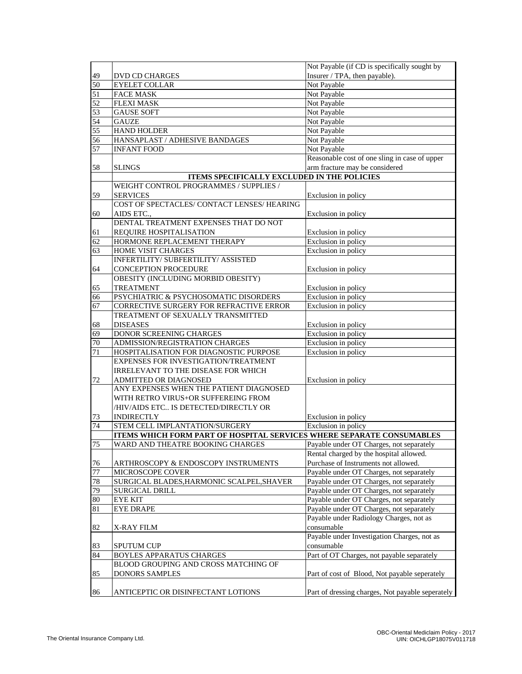|                 |                                                                       | Not Payable (if CD is specifically sought by     |
|-----------------|-----------------------------------------------------------------------|--------------------------------------------------|
| 49              | DVD CD CHARGES                                                        | Insurer / TPA, then payable).                    |
| 50              | <b>EYELET COLLAR</b>                                                  | Not Payable                                      |
| 51              | <b>FACE MASK</b>                                                      | Not Payable                                      |
| 52              | <b>FLEXI MASK</b>                                                     | Not Payable                                      |
| 53              | <b>GAUSE SOFT</b>                                                     | Not Payable                                      |
| $\overline{54}$ | <b>GAUZE</b>                                                          | Not Payable                                      |
| $\overline{55}$ | <b>HAND HOLDER</b>                                                    | Not Payable                                      |
| 56              | HANSAPLAST / ADHESIVE BANDAGES                                        | Not Payable                                      |
| 57              | <b>INFANT FOOD</b>                                                    | Not Payable                                      |
|                 |                                                                       | Reasonable cost of one sling in case of upper    |
| 58              | <b>SLINGS</b>                                                         | arm fracture may be considered                   |
|                 | <b>ITEMS SPECIFICALLY EXCLUDED IN THE POLICIES</b>                    |                                                  |
|                 | WEIGHT CONTROL PROGRAMMES / SUPPLIES /                                |                                                  |
| 59              | <b>SERVICES</b>                                                       | Exclusion in policy                              |
|                 | COST OF SPECTACLES/ CONTACT LENSES/ HEARING                           |                                                  |
| 60              | AIDS ETC.,                                                            | Exclusion in policy                              |
|                 | DENTAL TREATMENT EXPENSES THAT DO NOT                                 |                                                  |
| 61              | REQUIRE HOSPITALISATION                                               | Exclusion in policy                              |
|                 |                                                                       | Exclusion in policy                              |
| 62<br>63        | HORMONE REPLACEMENT THERAPY<br><b>HOME VISIT CHARGES</b>              | Exclusion in policy                              |
|                 | INFERTILITY/ SUBFERTILITY/ ASSISTED                                   |                                                  |
|                 | <b>CONCEPTION PROCEDURE</b>                                           |                                                  |
| 64              | OBESITY (INCLUDING MORBID OBESITY)                                    | Exclusion in policy                              |
|                 |                                                                       |                                                  |
| 65              | <b>TREATMENT</b>                                                      | Exclusion in policy                              |
| 66              | PSYCHIATRIC & PSYCHOSOMATIC DISORDERS                                 | Exclusion in policy                              |
| 67              | CORRECTIVE SURGERY FOR REFRACTIVE ERROR                               | Exclusion in policy                              |
|                 | TREATMENT OF SEXUALLY TRANSMITTED                                     |                                                  |
| 68              | <b>DISEASES</b>                                                       | Exclusion in policy                              |
| 69              | DONOR SCREENING CHARGES                                               | Exclusion in policy                              |
| 70              | ADMISSION/REGISTRATION CHARGES                                        | Exclusion in policy                              |
| 71              | HOSPITALISATION FOR DIAGNOSTIC PURPOSE                                | Exclusion in policy                              |
|                 | EXPENSES FOR INVESTIGATION/TREATMENT                                  |                                                  |
|                 | <b>IRRELEVANT TO THE DISEASE FOR WHICH</b>                            |                                                  |
| 72              | ADMITTED OR DIAGNOSED                                                 | Exclusion in policy                              |
|                 | ANY EXPENSES WHEN THE PATIENT DIAGNOSED                               |                                                  |
|                 | WITH RETRO VIRUS+OR SUFFEREING FROM                                   |                                                  |
|                 | /HIV/AIDS ETC IS DETECTED/DIRECTLY OR                                 |                                                  |
| 73              | <b>INDIRECTLY</b>                                                     | Exclusion in policy                              |
| 74              | STEM CELL IMPLANTATION/SURGERY                                        | Exclusion in policy                              |
|                 | ITEMS WHICH FORM PART OF HOSPITAL SERVICES WHERE SEPARATE CONSUMABLES |                                                  |
| 75              | WARD AND THEATRE BOOKING CHARGES                                      | Payable under OT Charges, not separately         |
|                 |                                                                       | Rental charged by the hospital allowed.          |
| 76              | ARTHROSCOPY & ENDOSCOPY INSTRUMENTS                                   | Purchase of Instruments not allowed.             |
| 77              | MICROSCOPE COVER                                                      | Payable under OT Charges, not separately         |
| 78              | SURGICAL BLADES, HARMONIC SCALPEL, SHAVER                             | Payable under OT Charges, not separately         |
| 79              | SURGICAL DRILL                                                        | Payable under OT Charges, not separately         |
| 80              | <b>EYE KIT</b>                                                        | Payable under OT Charges, not separately         |
| 81              | <b>EYE DRAPE</b>                                                      | Payable under OT Charges, not separately         |
|                 |                                                                       | Payable under Radiology Charges, not as          |
| 82              | X-RAY FILM                                                            | consumable                                       |
|                 |                                                                       | Payable under Investigation Charges, not as      |
| 83              | <b>SPUTUM CUP</b>                                                     | consumable                                       |
| 84              | <b>BOYLES APPARATUS CHARGES</b>                                       | Part of OT Charges, not payable separately       |
|                 | BLOOD GROUPING AND CROSS MATCHING OF                                  |                                                  |
| 85              | <b>DONORS SAMPLES</b>                                                 | Part of cost of Blood, Not payable seperately    |
|                 |                                                                       |                                                  |
| 86              | ANTICEPTIC OR DISINFECTANT LOTIONS                                    | Part of dressing charges, Not payable seperately |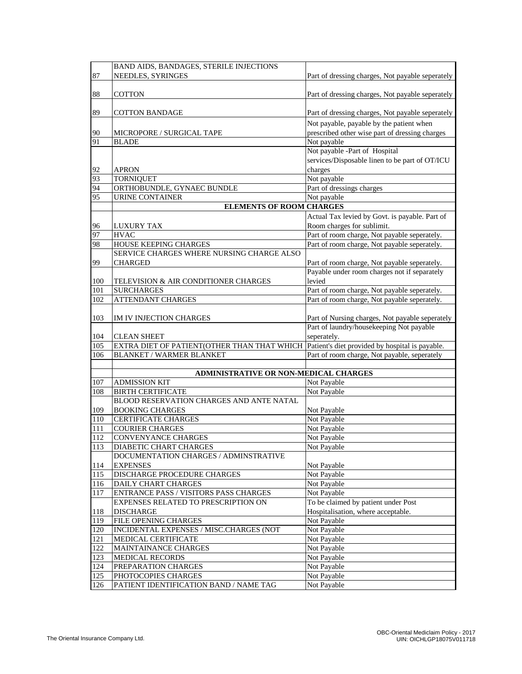|            | BAND AIDS, BANDAGES, STERILE INJECTIONS                   |                                                        |
|------------|-----------------------------------------------------------|--------------------------------------------------------|
| 87         | NEEDLES, SYRINGES                                         | Part of dressing charges, Not payable seperately       |
|            |                                                           |                                                        |
| 88         | <b>COTTON</b>                                             | Part of dressing charges, Not payable seperately       |
|            |                                                           |                                                        |
| 89         | <b>COTTON BANDAGE</b>                                     | Part of dressing charges, Not payable seperately       |
|            |                                                           |                                                        |
|            |                                                           | Not payable, payable by the patient when               |
| 90<br>91   | MICROPORE / SURGICAL TAPE<br><b>BLADE</b>                 | prescribed other wise part of dressing charges         |
|            |                                                           | Not payable<br>Not payable -Part of Hospital           |
|            |                                                           | services/Disposable linen to be part of OT/ICU         |
|            | <b>APRON</b>                                              | charges                                                |
| 92<br>93   | <b>TORNIQUET</b>                                          | Not payable                                            |
| 94         | ORTHOBUNDLE, GYNAEC BUNDLE                                | Part of dressings charges                              |
| 95         | <b>URINE CONTAINER</b>                                    | Not payable                                            |
|            | <b>ELEMENTS OF ROOM CHARGES</b>                           |                                                        |
|            |                                                           |                                                        |
|            |                                                           | Actual Tax levied by Govt. is payable. Part of         |
| 96         | <b>LUXURY TAX</b>                                         | Room charges for sublimit.                             |
| 97         | <b>HVAC</b>                                               | Part of room charge, Not payable seperately.           |
| 98         | HOUSE KEEPING CHARGES                                     | Part of room charge, Not payable seperately.           |
|            | SERVICE CHARGES WHERE NURSING CHARGE ALSO                 |                                                        |
| 99         | <b>CHARGED</b>                                            | Part of room charge, Not payable seperately.           |
|            |                                                           | Payable under room charges not if separately<br>levied |
| 100<br>101 | TELEVISION & AIR CONDITIONER CHARGES<br><b>SURCHARGES</b> | Part of room charge, Not payable seperately.           |
| 102        | <b>ATTENDANT CHARGES</b>                                  | Part of room charge, Not payable seperately.           |
|            |                                                           |                                                        |
| 103        | IM IV INJECTION CHARGES                                   | Part of Nursing charges, Not payable seperately        |
|            |                                                           | Part of laundry/housekeeping Not payable               |
| 104        | <b>CLEAN SHEET</b>                                        | seperately.                                            |
| 105        | EXTRA DIET OF PATIENT(OTHER THAN THAT WHICH               | Patient's diet provided by hospital is payable.        |
| 106        | <b>BLANKET / WARMER BLANKET</b>                           | Part of room charge, Not payable, seperately           |
|            |                                                           |                                                        |
|            | ADMINISTRATIVE OR NON-MEDICAL CHARGES                     |                                                        |
| 107        | <b>ADMISSION KIT</b>                                      | Not Payable                                            |
| 108        | <b>BIRTH CERTIFICATE</b>                                  | Not Payable                                            |
|            | BLOOD RESERVATION CHARGES AND ANTE NATAL                  |                                                        |
| 109        | <b>BOOKING CHARGES</b>                                    | Not Payable                                            |
| 110        | <b>CERTIFICATE CHARGES</b>                                | Not Payable                                            |
| 111        | <b>COURIER CHARGES</b>                                    | Not Payable                                            |
| 112        | CONVENYANCE CHARGES                                       | Not Payable                                            |
| 113        | DIABETIC CHART CHARGES                                    | Not Payable                                            |
|            | DOCUMENTATION CHARGES / ADMINSTRATIVE                     |                                                        |
| 114        | <b>EXPENSES</b>                                           | Not Payable                                            |
| 115        | DISCHARGE PROCEDURE CHARGES                               | Not Payable                                            |
| 116        | <b>DAILY CHART CHARGES</b>                                | Not Payable                                            |
| 117        | ENTRANCE PASS / VISITORS PASS CHARGES                     | Not Payable                                            |
|            | EXPENSES RELATED TO PRESCRIPTION ON                       | To be claimed by patient under Post                    |
| 118        | <b>DISCHARGE</b>                                          | Hospitalisation, where acceptable.                     |
| 119        | FILE OPENING CHARGES                                      | Not Payable                                            |
| 120        | INCIDENTAL EXPENSES / MISC.CHARGES (NOT                   | Not Payable                                            |
| 121        | MEDICAL CERTIFICATE                                       | Not Payable                                            |
| 122        | MAINTAINANCE CHARGES                                      | Not Payable                                            |
| 123        | <b>MEDICAL RECORDS</b>                                    | Not Payable                                            |
| 124        | PREPARATION CHARGES                                       | Not Payable                                            |
| 125        | PHOTOCOPIES CHARGES                                       | Not Payable                                            |
| 126        | PATIENT IDENTIFICATION BAND / NAME TAG                    | Not Payable                                            |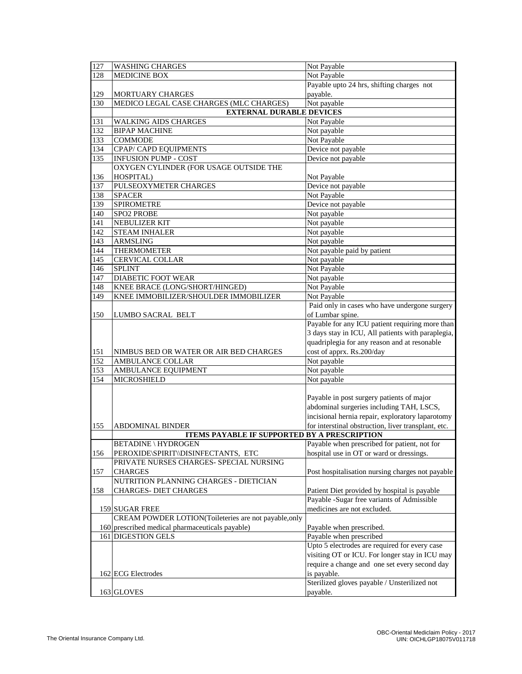| 127              | <b>WASHING CHARGES</b>                                | Not Payable                                         |
|------------------|-------------------------------------------------------|-----------------------------------------------------|
| 128              | <b>MEDICINE BOX</b>                                   | Not Payable                                         |
|                  |                                                       | Payable upto 24 hrs, shifting charges not           |
| 129              | <b>MORTUARY CHARGES</b>                               | payable.                                            |
| 130              | MEDICO LEGAL CASE CHARGES (MLC CHARGES)               | Not payable                                         |
|                  | <b>EXTERNAL DURABLE DEVICES</b>                       |                                                     |
| 131              | <b>WALKING AIDS CHARGES</b>                           | Not Payable                                         |
| 132              | <b>BIPAP MACHINE</b>                                  | Not payable                                         |
| 133              | <b>COMMODE</b>                                        | Not Payable                                         |
| 134              | CPAP/ CAPD EQUIPMENTS                                 | Device not payable                                  |
| 135              | <b>INFUSION PUMP - COST</b>                           | Device not payable                                  |
|                  | OXYGEN CYLINDER (FOR USAGE OUTSIDE THE                |                                                     |
| 136              | HOSPITAL)                                             | Not Payable                                         |
| 137              | PULSEOXYMETER CHARGES                                 | Device not payable                                  |
| 138              | <b>SPACER</b>                                         | Not Payable                                         |
| 139              | <b>SPIROMETRE</b>                                     | Device not payable                                  |
| 140              | SPO2 PROBE                                            | Not payable                                         |
| 141              | NEBULIZER KIT                                         | Not payable                                         |
| $\overline{142}$ | <b>STEAM INHALER</b>                                  | Not payable                                         |
| 143              | <b>ARMSLING</b>                                       | Not payable                                         |
| 144              | <b>THERMOMETER</b>                                    | Not payable paid by patient                         |
| 145              | CERVICAL COLLAR                                       | Not payable                                         |
| 146              | <b>SPLINT</b>                                         | Not Payable                                         |
| $\overline{147}$ | <b>DIABETIC FOOT WEAR</b>                             | Not payable                                         |
| 148              | KNEE BRACE (LONG/SHORT/HINGED)                        | Not Payable                                         |
| 149              | KNEE IMMOBILIZER/SHOULDER IMMOBILIZER                 | Not Payable                                         |
|                  |                                                       | Paid only in cases who have undergone surgery       |
| 150              | <b>LUMBO SACRAL BELT</b>                              | of Lumbar spine.                                    |
|                  |                                                       | Payable for any ICU patient requiring more than     |
|                  |                                                       | 3 days stay in ICU, All patients with paraplegia,   |
|                  |                                                       | quadriplegia for any reason and at resonable        |
| 151              | NIMBUS BED OR WATER OR AIR BED CHARGES                | cost of apprx. Rs.200/day                           |
| 152              | <b>AMBULANCE COLLAR</b>                               | Not payable                                         |
| 153              | AMBULANCE EQUIPMENT                                   | Not payable                                         |
| 154              | <b>MICROSHIELD</b>                                    | Not payable                                         |
|                  |                                                       |                                                     |
|                  |                                                       | Payable in post surgery patients of major           |
|                  |                                                       | abdominal surgeries including TAH, LSCS,            |
|                  |                                                       | incisional hernia repair, exploratory laparotomy    |
| 155              | <b>ABDOMINAL BINDER</b>                               | for interstinal obstruction, liver transplant, etc. |
|                  | <b>ITEMS PAYABLE IF SUPPORTED BY A PRESCRIPTION</b>   |                                                     |
|                  | BETADINE \ HYDROGEN                                   | Payable when prescribed for patient, not for        |
| 156              | PEROXIDE\SPIRIT\\DISINFECTANTS, ETC                   | hospital use in OT or ward or dressings.            |
|                  | PRIVATE NURSES CHARGES- SPECIAL NURSING               |                                                     |
| 157              | <b>CHARGES</b>                                        | Post hospitalisation nursing charges not payable    |
|                  | NUTRITION PLANNING CHARGES - DIETICIAN                |                                                     |
| 158              | <b>CHARGES- DIET CHARGES</b>                          | Patient Diet provided by hospital is payable        |
|                  |                                                       | Payable -Sugar free variants of Admissible          |
|                  | 159 SUGAR FREE                                        | medicines are not excluded.                         |
|                  | CREAM POWDER LOTION(Toileteries are not payable, only |                                                     |
|                  | 160 prescribed medical pharmaceuticals payable)       | Payable when prescribed.                            |
|                  | 161 DIGESTION GELS                                    | Payable when prescribed                             |
|                  |                                                       | Upto 5 electrodes are required for every case       |
|                  |                                                       | visiting OT or ICU. For longer stay in ICU may      |
|                  |                                                       |                                                     |
|                  |                                                       | require a change and one set every second day       |
|                  | 162 ECG Electrodes                                    | is payable.                                         |
|                  |                                                       | Sterilized gloves payable / Unsterilized not        |
|                  | 163 GLOVES                                            | payable.                                            |